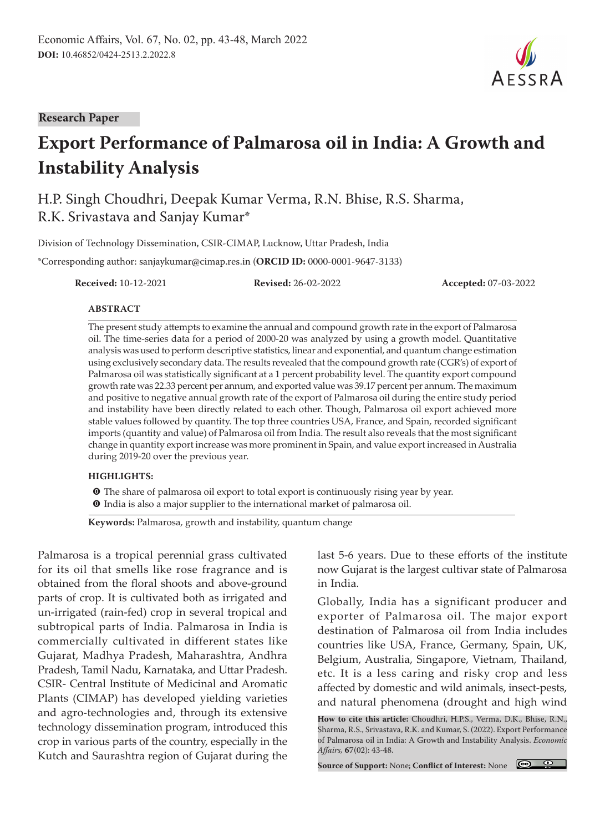**Research Paper**

# **Export Performance of Palmarosa oil in India: A Growth and Instability Analysis**

H.P. Singh Choudhri, Deepak Kumar Verma, R.N. Bhise, R.S. Sharma, R.K. Srivastava and Sanjay Kumar\*

Division of Technology Dissemination, CSIR-CIMAP, Lucknow, Uttar Pradesh, India

\*Corresponding author: sanjaykumar@cimap.res.in (**ORCID ID:** 0000-0001-9647-3133)

**Received:** 10-12-2021 **Revised:** 26-02-2022 **Accepted:** 07-03-2022

#### **ABSTRACT**

The present study attempts to examine the annual and compound growth rate in the export of Palmarosa oil. The time-series data for a period of 2000-20 was analyzed by using a growth model. Quantitative analysis was used to perform descriptive statistics, linear and exponential, and quantum change estimation using exclusively secondary data. The results revealed that the compound growth rate (CGR's) of export of Palmarosa oil was statistically significant at a 1 percent probability level. The quantity export compound growth rate was 22.33 percent per annum, and exported value was 39.17 percent per annum. The maximum and positive to negative annual growth rate of the export of Palmarosa oil during the entire study period and instability have been directly related to each other. Though, Palmarosa oil export achieved more stable values followed by quantity. The top three countries USA, France, and Spain, recorded significant imports (quantity and value) of Palmarosa oil from India. The result also reveals that the most significant change in quantity export increase was more prominent in Spain, and value export increased in Australia during 2019-20 over the previous year.

#### **HIGHLIGHTS:**

 $\bullet$  The share of palmarosa oil export to total export is continuously rising year by year.

**O** India is also a major supplier to the international market of palmarosa oil.

**Keywords:** Palmarosa, growth and instability, quantum change

Palmarosa is a tropical perennial grass cultivated for its oil that smells like rose fragrance and is obtained from the floral shoots and above-ground parts of crop. It is cultivated both as irrigated and un-irrigated (rain-fed) crop in several tropical and subtropical parts of India. Palmarosa in India is commercially cultivated in different states like Gujarat, Madhya Pradesh, Maharashtra, Andhra Pradesh, Tamil Nadu, Karnataka, and Uttar Pradesh. CSIR- Central Institute of Medicinal and Aromatic Plants (CIMAP) has developed yielding varieties and agro-technologies and, through its extensive technology dissemination program, introduced this crop in various parts of the country, especially in the Kutch and Saurashtra region of Gujarat during the

last 5-6 years. Due to these efforts of the institute now Gujarat is the largest cultivar state of Palmarosa in India.

Globally, India has a significant producer and exporter of Palmarosa oil. The major export destination of Palmarosa oil from India includes countries like USA, France, Germany, Spain, UK, Belgium, Australia, Singapore, Vietnam, Thailand, etc. It is a less caring and risky crop and less affected by domestic and wild animals, insect-pests, and natural phenomena (drought and high wind

**Source of Support:** None; **Conflict of Interest:** None



**How to cite this article:** Choudhri, H.P.S., Verma, D.K., Bhise, R.N., Sharma, R.S., Srivastava, R.K. and Kumar, S. (2022). Export Performance of Palmarosa oil in India: A Growth and Instability Analysis. *Economic Affairs,* **67**(02): 43-48.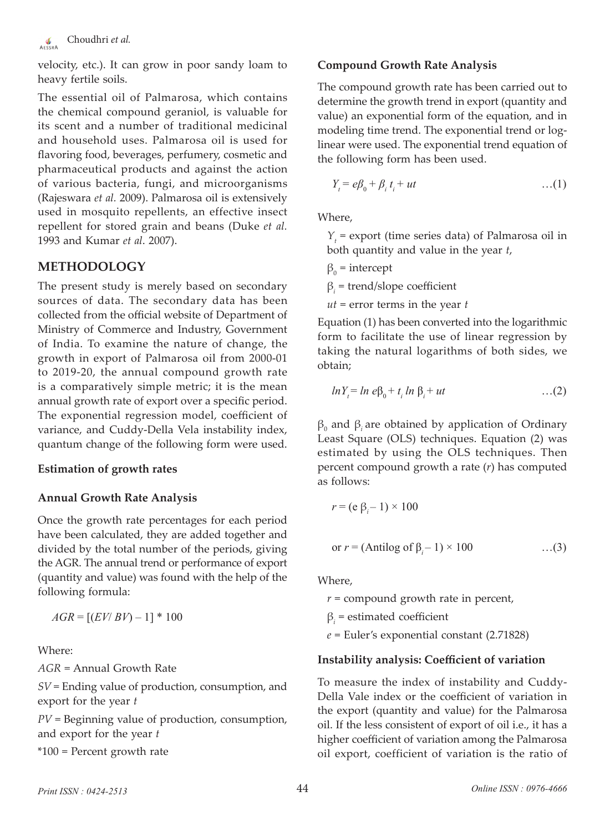

velocity, etc.). It can grow in poor sandy loam to heavy fertile soils.

The essential oil of Palmarosa, which contains the chemical compound geraniol, is valuable for its scent and a number of traditional medicinal and household uses. Palmarosa oil is used for flavoring food, beverages, perfumery, cosmetic and pharmaceutical products and against the action of various bacteria, fungi, and microorganisms (Rajeswara *et al.* 2009). Palmarosa oil is extensively used in mosquito repellents, an effective insect repellent for stored grain and beans (Duke *et al.* 1993 and Kumar *et al*. 2007).

# **METHODOLOGY**

The present study is merely based on secondary sources of data. The secondary data has been collected from the official website of Department of Ministry of Commerce and Industry, Government of India. To examine the nature of change, the growth in export of Palmarosa oil from 2000-01 to 2019-20, the annual compound growth rate is a comparatively simple metric; it is the mean annual growth rate of export over a specific period. The exponential regression model, coefficient of variance, and Cuddy-Della Vela instability index, quantum change of the following form were used.

#### **Estimation of growth rates**

#### **Annual Growth Rate Analysis**

Once the growth rate percentages for each period have been calculated, they are added together and divided by the total number of the periods, giving the AGR. The annual trend or performance of export (quantity and value) was found with the help of the following formula:

 $AGR = [(EV/BV) - 1] * 100$ 

Where:

*AGR* = Annual Growth Rate

*SV* = Ending value of production, consumption, and export for the year *t*

*PV* = Beginning value of production, consumption, and export for the year *t*

\*100 = Percent growth rate

#### **Compound Growth Rate Analysis**

The compound growth rate has been carried out to determine the growth trend in export (quantity and value) an exponential form of the equation, and in modeling time trend. The exponential trend or loglinear were used. The exponential trend equation of the following form has been used.

$$
Y_t = e\beta_0 + \beta_i t_i + ut \qquad \qquad \dots (1)
$$

Where,

*Y*<sub>t</sub> = export (time series data) of Palmarosa oil in both quantity and value in the year *t*,

$$
\beta_0 = \text{intercept}
$$

 $\beta_i$  = trend/slope coefficient

*ut* = error terms in the year *t*

Equation (1) has been converted into the logarithmic form to facilitate the use of linear regression by taking the natural logarithms of both sides, we obtain;

$$
ln Yt = ln e\beta0 + ti ln \betai + ut
$$
...(2)

 $β_0$  and  $β_i$  are obtained by application of Ordinary Least Square (OLS) techniques. Equation (2) was estimated by using the OLS techniques. Then percent compound growth a rate (*r*) has computed as follows:

$$
r = (e \beta_i - 1) \times 100
$$
  
or  $r = (Antilog of \beta_i - 1) \times 100$  ...(3)

Where,

*r* = compound growth rate in percent,

 $\beta_i$  = estimated coefficient

*e* = Euler's exponential constant (2.71828)

#### **Instability analysis: Coefficient of variation**

To measure the index of instability and Cuddy-Della Vale index or the coefficient of variation in the export (quantity and value) for the Palmarosa oil. If the less consistent of export of oil i.e., it has a higher coefficient of variation among the Palmarosa oil export, coefficient of variation is the ratio of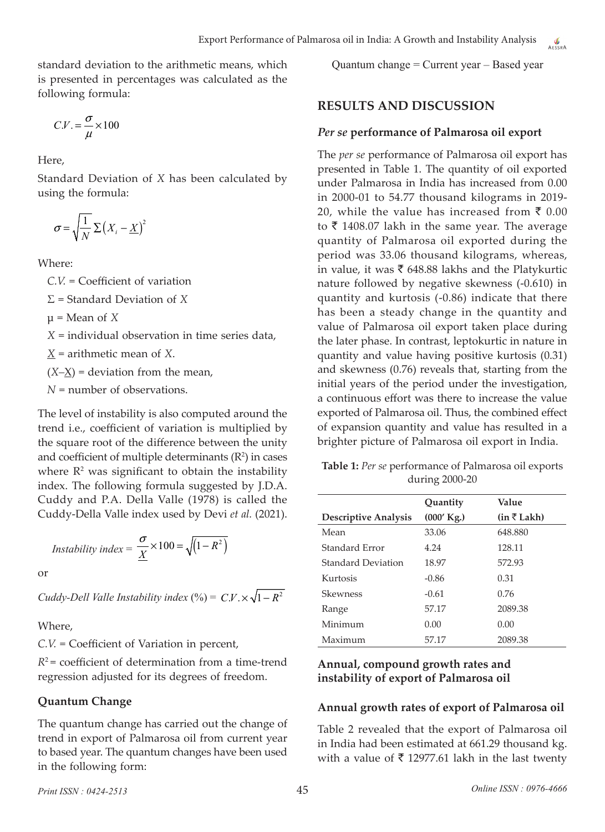standard deviation to the arithmetic means, which is presented in percentages was calculated as the following formula:

$$
C.V. = \frac{\sigma}{\mu} \times 100
$$

Here,

Standard Deviation of *X* has been calculated by using the formula:

$$
\sigma = \sqrt{\frac{1}{N}} \sum (X_i - \underline{X})^2
$$

Where:

*C.V.* = Coefficient of variation Σ = Standard Deviation of *X*  $\mu$  = Mean of *X X* = individual observation in time series data, *X* = arithmetic mean of *X*.  $(X-\underline{X})$  = deviation from the mean, *N* = number of observations.

The level of instability is also computed around the trend i.e., coefficient of variation is multiplied by the square root of the difference between the unity and coefficient of multiple determinants  $(R^2)$  in cases where  $\mathbb{R}^2$  was significant to obtain the instability index. The following formula suggested by J.D.A. Cuddy and P.A. Della Valle (1978) is called the Cuddy-Della Valle index used by Devi *et al.* (2021).

$$
Instability\ index = \frac{\sigma}{\underline{X}} \times 100 = \sqrt{(1 - R^2)}
$$

or

*Cuddy-Dell Valle Instability index*  $(^{0}_{0}) = C.V. \times \sqrt{1 - R^{2}}$ 

Where,

*C.V.* = Coefficient of Variation in percent,

 $R^2$  = coefficient of determination from a time-trend regression adjusted for its degrees of freedom.

## **Quantum Change**

The quantum change has carried out the change of trend in export of Palmarosa oil from current year to based year. The quantum changes have been used in the following form:

Quantum change = Current year – Based year

# **RESULTS AND DISCUSSION**

## *Per se* **performance of Palmarosa oil export**

The *per se* performance of Palmarosa oil export has presented in Table 1. The quantity of oil exported under Palmarosa in India has increased from 0.00 in 2000-01 to 54.77 thousand kilograms in 2019- 20, while the value has increased from  $\bar{\tau}$  0.00 to  $\bar{\tau}$  1408.07 lakh in the same year. The average quantity of Palmarosa oil exported during the period was 33.06 thousand kilograms, whereas, in value, it was  $\bar{\tau}$  648.88 lakhs and the Platykurtic nature followed by negative skewness (-0.610) in quantity and kurtosis (-0.86) indicate that there has been a steady change in the quantity and value of Palmarosa oil export taken place during the later phase. In contrast, leptokurtic in nature in quantity and value having positive kurtosis (0.31) and skewness (0.76) reveals that, starting from the initial years of the period under the investigation, a continuous effort was there to increase the value exported of Palmarosa oil. Thus, the combined effect of expansion quantity and value has resulted in a brighter picture of Palmarosa oil export in India.

**Table 1:** *Per se* performance of Palmarosa oil exports during 2000-20

|                             | Quantity     | Value                  |
|-----------------------------|--------------|------------------------|
| <b>Descriptive Analysis</b> | $(000'$ Kg.) | $(in \bar{\tau}$ Lakh) |
| Mean                        | 33.06        | 648.880                |
| Standard Error              | 4.24         | 128.11                 |
| Standard Deviation          | 18.97        | 572.93                 |
| Kurtosis                    | $-0.86$      | 0.31                   |
| <b>Skewness</b>             | $-0.61$      | 0.76                   |
| Range                       | 57.17        | 2089.38                |
| Minimum                     | 0.00         | 0.00                   |
| Maximum                     | 57.17        | 2089.38                |

# **Annual, compound growth rates and instability of export of Palmarosa oil**

## **Annual growth rates of export of Palmarosa oil**

Table 2 revealed that the export of Palmarosa oil in India had been estimated at 661.29 thousand kg. with a value of  $\bar{\tau}$  12977.61 lakh in the last twenty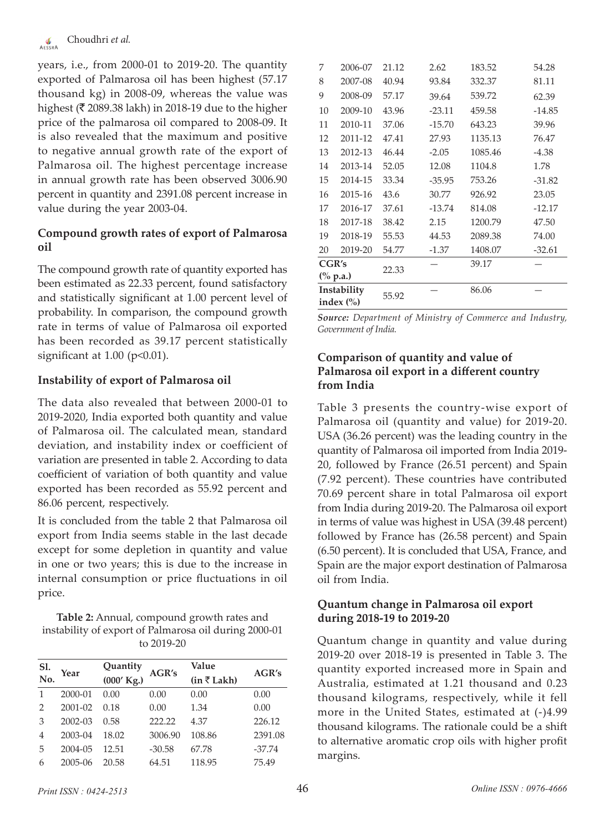years, i.e., from 2000-01 to 2019-20. The quantity exported of Palmarosa oil has been highest (57.17 thousand kg) in 2008-09, whereas the value was highest ( $\bar{\tau}$  2089.38 lakh) in 2018-19 due to the higher price of the palmarosa oil compared to 2008-09. It is also revealed that the maximum and positive to negative annual growth rate of the export of Palmarosa oil. The highest percentage increase in annual growth rate has been observed 3006.90 percent in quantity and 2391.08 percent increase in value during the year 2003-04.

# **Compound growth rates of export of Palmarosa oil**

The compound growth rate of quantity exported has been estimated as 22.33 percent, found satisfactory and statistically significant at 1.00 percent level of probability. In comparison, the compound growth rate in terms of value of Palmarosa oil exported has been recorded as 39.17 percent statistically significant at  $1.00$  ( $p<0.01$ ).

# **Instability of export of Palmarosa oil**

The data also revealed that between 2000-01 to 2019-2020, India exported both quantity and value of Palmarosa oil. The calculated mean, standard deviation, and instability index or coefficient of variation are presented in table 2. According to data coefficient of variation of both quantity and value exported has been recorded as 55.92 percent and 86.06 percent, respectively.

It is concluded from the table 2 that Palmarosa oil export from India seems stable in the last decade except for some depletion in quantity and value in one or two years; this is due to the increase in internal consumption or price fluctuations in oil price.

**Table 2:** Annual, compound growth rates and instability of export of Palmarosa oil during 2000-01 to 2019-20

| Sl.<br>No.     | Year        | Quantity     | AGR's    | Value                  | AGR's    |  |
|----------------|-------------|--------------|----------|------------------------|----------|--|
|                |             | $(000'$ Kg.) |          | $(in \bar{\tau}$ Lakh) |          |  |
| 1              | 2000-01     | 0.00         | 0.00     | 0.00                   | 0.00     |  |
| $\overline{2}$ | $2001 - 02$ | 0.18         | 0.00     | 1.34                   | 0.00     |  |
| 3              | $2002 - 03$ | 0.58         | 222.22   | 4.37                   | 226.12   |  |
| $\overline{4}$ | 2003-04     | 18.02        | 3006.90  | 108.86                 | 2391.08  |  |
| 5              | 2004-05     | 12.51        | $-30.58$ | 67.78                  | $-37.74$ |  |
| 6              | 2005-06     | 20.58        | 64.51    | 118.95                 | 75.49    |  |
|                |             |              |          |                        |          |  |

| 7                                       | 2006-07 | 21.12 | 2.62     | 183.52  | 54.28    |
|-----------------------------------------|---------|-------|----------|---------|----------|
| 8                                       | 2007-08 | 40.94 | 93.84    | 332.37  | 81.11    |
| 9                                       | 2008-09 | 57.17 | 39.64    | 539.72  | 62.39    |
| 10                                      | 2009-10 | 43.96 | $-23.11$ | 459.58  | $-14.85$ |
| 11                                      | 2010-11 | 37.06 | $-15.70$ | 643.23  | 39.96    |
| 12                                      | 2011-12 | 47.41 | 27.93    | 1135.13 | 76.47    |
| 13                                      | 2012-13 | 46.44 | $-2.05$  | 1085.46 | $-4.38$  |
| 14                                      | 2013-14 | 52.05 | 12.08    | 1104.8  | 1.78     |
| 15                                      | 2014-15 | 33.34 | $-35.95$ | 753.26  | $-31.82$ |
| 16                                      | 2015-16 | 43.6  | 30.77    | 926.92  | 23.05    |
| 17                                      | 2016-17 | 37.61 | $-13.74$ | 814.08  | $-12.17$ |
| 18                                      | 2017-18 | 38.42 | 2.15     | 1200.79 | 47.50    |
| 19                                      | 2018-19 | 55.53 | 44.53    | 2089.38 | 74.00    |
| 20                                      | 2019-20 | 54.77 | $-1.37$  | 1408.07 | $-32.61$ |
| CGR's                                   |         | 22.33 |          | 39.17   |          |
| $\frac{(0)}{0}$ p.a.)                   |         |       |          |         |          |
| Instability<br>index $\left(\% \right)$ |         | 55.92 |          | 86.06   |          |

*Source: Department of Ministry of Commerce and Industry, Government of India.*

## **Comparison of quantity and value of Palmarosa oil export in a different country from India**

Table 3 presents the country-wise export of Palmarosa oil (quantity and value) for 2019-20. USA (36.26 percent) was the leading country in the quantity of Palmarosa oil imported from India 2019- 20, followed by France (26.51 percent) and Spain (7.92 percent). These countries have contributed 70.69 percent share in total Palmarosa oil export from India during 2019-20. The Palmarosa oil export in terms of value was highest in USA (39.48 percent) followed by France has (26.58 percent) and Spain (6.50 percent). It is concluded that USA, France, and Spain are the major export destination of Palmarosa oil from India.

# **Quantum change in Palmarosa oil export during 2018-19 to 2019-20**

Quantum change in quantity and value during 2019-20 over 2018-19 is presented in Table 3. The quantity exported increased more in Spain and Australia, estimated at 1.21 thousand and 0.23 thousand kilograms, respectively, while it fell more in the United States, estimated at (-)4.99 thousand kilograms. The rationale could be a shift to alternative aromatic crop oils with higher profit margins.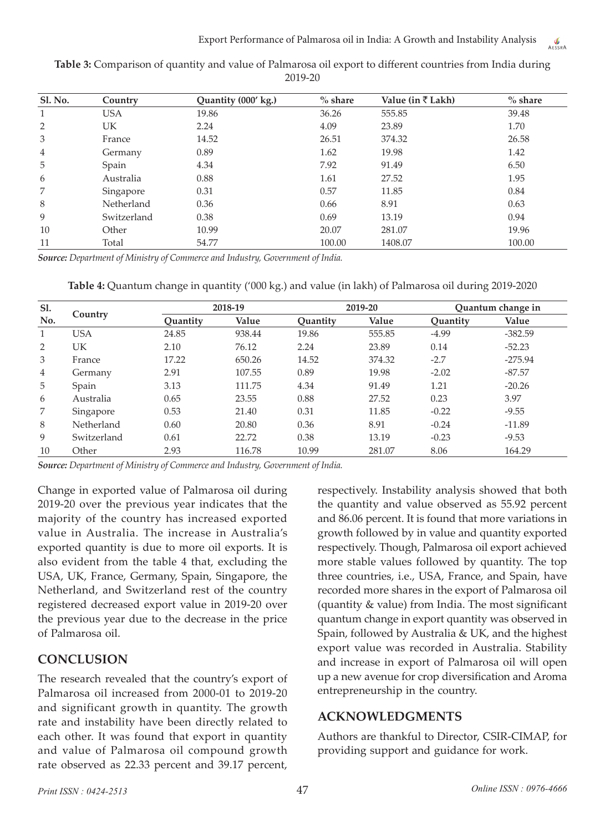| <b>Sl. No.</b> | Country     | Quantity (000' kg.) | $%$ share | Value (in $\bar{\tau}$ Lakh) | $%$ share |
|----------------|-------------|---------------------|-----------|------------------------------|-----------|
| 1              | <b>USA</b>  | 19.86               | 36.26     | 555.85                       | 39.48     |
| $\overline{2}$ | <b>UK</b>   | 2.24                | 4.09      | 23.89                        | 1.70      |
| 3              | France      | 14.52               | 26.51     | 374.32                       | 26.58     |
| $\overline{4}$ | Germany     | 0.89                | 1.62      | 19.98                        | 1.42      |
| 5              | Spain       | 4.34                | 7.92      | 91.49                        | 6.50      |
| 6              | Australia   | 0.88                | 1.61      | 27.52                        | 1.95      |
| 7              | Singapore   | 0.31                | 0.57      | 11.85                        | 0.84      |
| 8              | Netherland  | 0.36                | 0.66      | 8.91                         | 0.63      |
| 9              | Switzerland | 0.38                | 0.69      | 13.19                        | 0.94      |
| 10             | Other       | 10.99               | 20.07     | 281.07                       | 19.96     |
| 11             | Total       | 54.77               | 100.00    | 1408.07                      | 100.00    |
|                |             |                     |           |                              |           |

**Table 3:** Comparison of quantity and value of Palmarosa oil export to different countries from India during 2019-20

*Source: Department of Ministry of Commerce and Industry, Government of India.*

**Table 4:** Quantum change in quantity ('000 kg.) and value (in lakh) of Palmarosa oil during 2019-2020

| Sl.<br>No.   | Country     | 2018-19  |        | 2019-20  |        | Quantum change in |           |
|--------------|-------------|----------|--------|----------|--------|-------------------|-----------|
|              |             | Ouantity | Value  | Ouantity | Value  | Quantity          | Value     |
| $\mathbf{1}$ | <b>USA</b>  | 24.85    | 938.44 | 19.86    | 555.85 | $-4.99$           | $-382.59$ |
| 2            | UK          | 2.10     | 76.12  | 2.24     | 23.89  | 0.14              | $-52.23$  |
| 3            | France      | 17.22    | 650.26 | 14.52    | 374.32 | $-2.7$            | $-275.94$ |
| 4            | Germany     | 2.91     | 107.55 | 0.89     | 19.98  | $-2.02$           | $-87.57$  |
| 5            | Spain       | 3.13     | 111.75 | 4.34     | 91.49  | 1.21              | $-20.26$  |
| 6            | Australia   | 0.65     | 23.55  | 0.88     | 27.52  | 0.23              | 3.97      |
| 7            | Singapore   | 0.53     | 21.40  | 0.31     | 11.85  | $-0.22$           | $-9.55$   |
| 8            | Netherland  | 0.60     | 20.80  | 0.36     | 8.91   | $-0.24$           | $-11.89$  |
| 9            | Switzerland | 0.61     | 22.72  | 0.38     | 13.19  | $-0.23$           | $-9.53$   |
| 10           | Other       | 2.93     | 116.78 | 10.99    | 281.07 | 8.06              | 164.29    |

*Source: Department of Ministry of Commerce and Industry, Government of India.*

Change in exported value of Palmarosa oil during 2019-20 over the previous year indicates that the majority of the country has increased exported value in Australia. The increase in Australia's exported quantity is due to more oil exports. It is also evident from the table 4 that, excluding the USA, UK, France, Germany, Spain, Singapore, the Netherland, and Switzerland rest of the country registered decreased export value in 2019-20 over the previous year due to the decrease in the price of Palmarosa oil.

# **CONCLUSION**

The research revealed that the country's export of Palmarosa oil increased from 2000-01 to 2019-20 and significant growth in quantity. The growth rate and instability have been directly related to each other. It was found that export in quantity and value of Palmarosa oil compound growth rate observed as 22.33 percent and 39.17 percent,

respectively. Instability analysis showed that both the quantity and value observed as 55.92 percent and 86.06 percent. It is found that more variations in growth followed by in value and quantity exported respectively. Though, Palmarosa oil export achieved more stable values followed by quantity. The top three countries, i.e., USA, France, and Spain, have recorded more shares in the export of Palmarosa oil (quantity & value) from India. The most significant quantum change in export quantity was observed in Spain, followed by Australia & UK, and the highest export value was recorded in Australia. Stability and increase in export of Palmarosa oil will open up a new avenue for crop diversification and Aroma entrepreneurship in the country.

# **ACKNOWLEDGMENTS**

Authors are thankful to Director, CSIR-CIMAP, for providing support and guidance for work.

AFSSPA